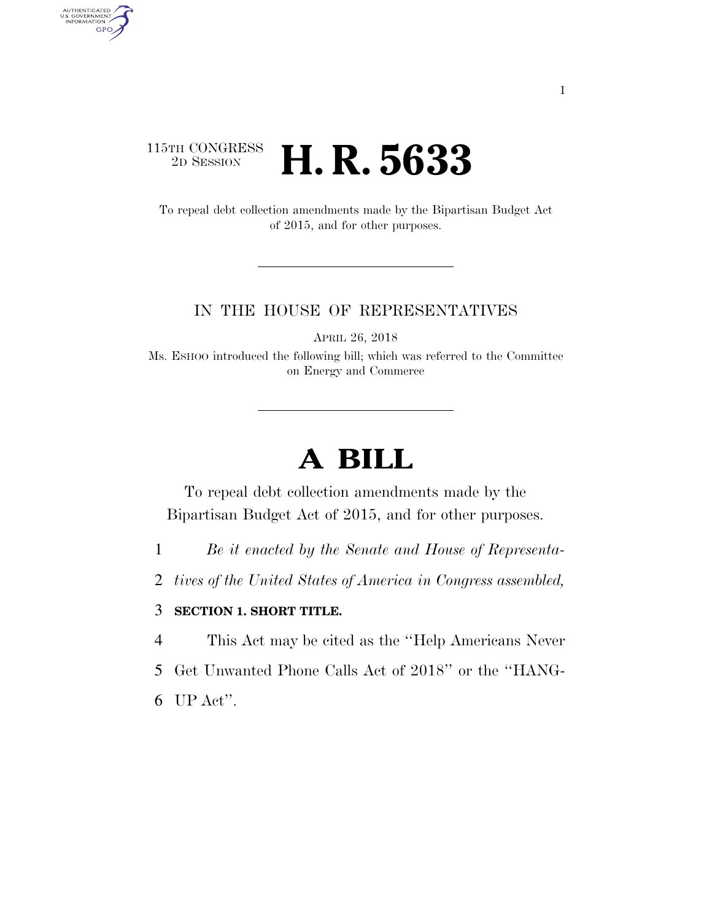## 115TH CONGRESS <sup>2D SESSION</sup> **H. R. 5633**

To repeal debt collection amendments made by the Bipartisan Budget Act of 2015, and for other purposes.

## IN THE HOUSE OF REPRESENTATIVES

APRIL 26, 2018

Ms. ESHOO introduced the following bill; which was referred to the Committee on Energy and Commerce

## **A BILL**

To repeal debt collection amendments made by the Bipartisan Budget Act of 2015, and for other purposes.

- 1 *Be it enacted by the Senate and House of Representa-*
- 2 *tives of the United States of America in Congress assembled,*

## 3 **SECTION 1. SHORT TITLE.**

4 This Act may be cited as the ''Help Americans Never

- 5 Get Unwanted Phone Calls Act of 2018'' or the ''HANG-
- 6 UP Act''.

AUTHENTICATED<br>U.S. GOVERNMENT<br>INFORMATION GPO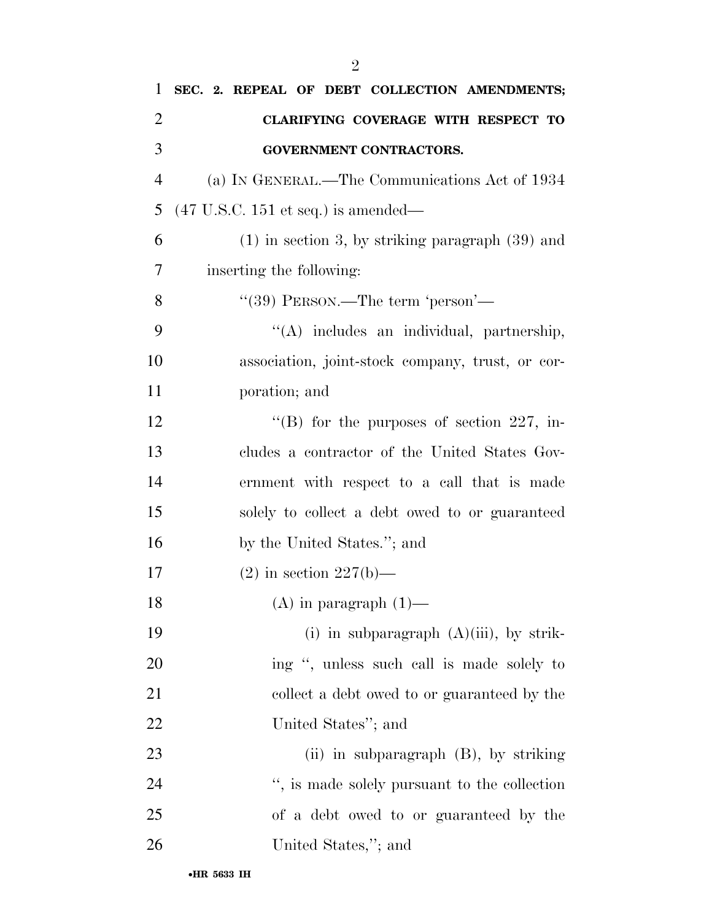| $\mathbf{1}$   | SEC. 2. REPEAL OF DEBT COLLECTION AMENDMENTS;          |
|----------------|--------------------------------------------------------|
| $\overline{2}$ | CLARIFYING COVERAGE WITH RESPECT TO                    |
| 3              | <b>GOVERNMENT CONTRACTORS.</b>                         |
| $\overline{4}$ | (a) IN GENERAL.—The Communications Act of 1934         |
| 5              | $(47 \text{ U.S.C. } 151 \text{ et seq.})$ is amended— |
| 6              | $(1)$ in section 3, by striking paragraph $(39)$ and   |
| 7              | inserting the following:                               |
| 8              | "(39) PERSON.—The term 'person'—                       |
| 9              | "(A) includes an individual, partnership,              |
| 10             | association, joint-stock company, trust, or cor-       |
| 11             | poration; and                                          |
| 12             | "(B) for the purposes of section 227, in-              |
| 13             | cludes a contractor of the United States Gov-          |
| 14             | ernment with respect to a call that is made            |
| 15             | solely to collect a debt owed to or guaranteed         |
| 16             | by the United States."; and                            |
| 17             | $(2)$ in section $227(b)$ —                            |
| 18             | $(A)$ in paragraph $(1)$ —                             |
| 19             | (i) in subparagraph $(A)(iii)$ , by strik-             |
| 20             | ing ", unless such call is made solely to              |
| 21             | collect a debt owed to or guaranteed by the            |
| 22             | United States"; and                                    |
| 23             | (ii) in subparagraph (B), by striking                  |
| 24             | ", is made solely pursuant to the collection           |
| 25             | of a debt owed to or guaranteed by the                 |
| 26             | United States,"; and                                   |